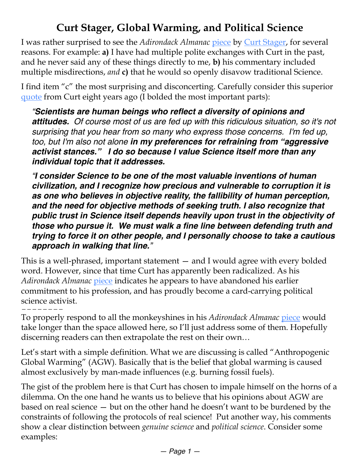## **Curt Stager, Global Warming, and Political Science**

I was rather surprised to see the *Adirondack Almanac* [piece](https://www.adirondackalmanack.com/2019/03/curt-stager-what-climate-deniers-get-wrong.html) by [Curt Stager](http://www.curtstager.com/About__Biography_.html), for several reasons. For example: **a)** I have had multiple polite exchanges with Curt in the past, and he never said any of these things directly to me, **b)** his commentary included multiple misdirections, *and* **c)** that he would so openly disavow traditional Science.

I find item "c" the most surprising and disconcerting. Carefully consider this superior [quote](https://www.desmog.com/2011/05/27/desmog-interview-curt-stager-author-deep-future-part-2/) from Curt eight years ago (I bolded the most important parts):

*"Scientists are human beings who reflect a diversity of opinions and attitudes. Of course most of us are fed up with this ridiculous situation, so it's not surprising that you hear from so many who express those concerns. I'm fed up, too, but I'm also not alone in my preferences for refraining from "aggressive activist stances." I do so because I value Science itself more than any individual topic that it addresses.*

*"I consider Science to be one of the most valuable inventions of human civilization, and I recognize how precious and vulnerable to corruption it is as one who believes in objective reality, the fallibility of human perception, and the need for objective methods of seeking truth. I also recognize that public trust in Science itself depends heavily upon trust in the objectivity of those who pursue it. We must walk a fine line between defending truth and trying to force it on other people, and I personally choose to take a cautious approach in walking that line."* 

This is a well-phrased, important statement — and I would agree with every bolded word. However, since that time Curt has apparently been radicalized. As his *Adirondack Almanac* [piece](https://www.adirondackalmanack.com/2019/03/curt-stager-what-climate-deniers-get-wrong.html) indicates he appears to have abandoned his earlier commitment to his profession, and has proudly become a card-carrying political science activist.

———————— To properly respond to all the monkeyshines in his *Adirondack Almanac* [piece](https://www.adirondackalmanack.com/2019/03/curt-stager-what-climate-deniers-get-wrong.html) would take longer than the space allowed here, so I'll just address some of them. Hopefully discerning readers can then extrapolate the rest on their own…

Let's start with a simple definition. What we are discussing is called "Anthropogenic Global Warming" (AGW). Basically that is the belief that global warming is caused almost exclusively by man-made influences (e.g. burning fossil fuels).

The gist of the problem here is that Curt has chosen to impale himself on the horns of a dilemma. On the one hand he wants us to believe that his opinions about AGW are based on real science — but on the other hand he doesn't want to be burdened by the constraints of following the protocols of real science! Put another way, his comments show a clear distinction between *genuine science* and *political science*. Consider some examples: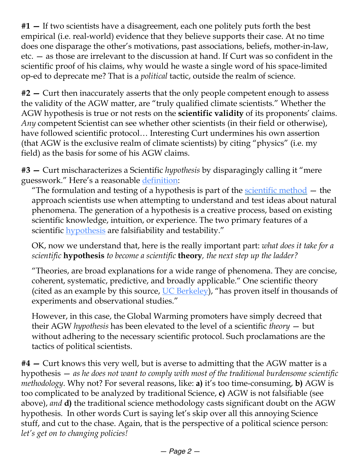**#1 —** If two scientists have a disagreement, each one politely puts forth the best empirical (i.e. real-world) evidence that they believe supports their case. At no time does one disparage the other's motivations, past associations, beliefs, mother-in-law, etc. — as those are irrelevant to the discussion at hand. If Curt was so confident in the scientific proof of his claims, why would he waste a single word of his space-limited op-ed to deprecate me? That is a *political* tactic, outside the realm of science.

**#2 —** Curt then inaccurately asserts that the only people competent enough to assess the validity of the AGW matter, are "truly qualified climate scientists." Whether the AGW hypothesis is true or not rests on the **scientific validity** of its proponents' claims. *Any* competent Scientist can see whether other scientists (in their field or otherwise), have followed scientific protocol… Interesting Curt undermines his own assertion (that AGW is the exclusive realm of climate scientists) by citing "physics" (i.e. my field) as the basis for some of his AGW claims.

**#3 —** Curt mischaracterizes a Scientific *hypothesis* by disparagingly calling it "mere guesswork." Here's a reasonable [definition](https://www.britannica.com/science/scientific-hypothesis):

"The formulation and testing of a hypothesis is part of the <u>scientific method</u>  $-$  the approach scientists use when attempting to understand and test ideas about natural phenomena. The generation of a hypothesis is a creative process, based on existing scientific knowledge, intuition, or experience. The two primary features of a scientific **hypothesis** are falsifiability and testability."

OK, now we understand that, here is the really important part: *what does it take for a scientific* **hypothesis** *to become a scientific* **theory***, the next step up the ladder?*

"Theories, are broad explanations for a wide range of phenomena. They are concise, coherent, systematic, predictive, and broadly applicable." One scientific theory (cited as an example by this source, [UC Berkeley](https://undsci.berkeley.edu/article/howscienceworks_19)), "has proven itself in thousands of experiments and observational studies."

However, in this case, the Global Warming promoters have simply decreed that their AGW *hypothesis* has been elevated to the level of a scientific *theory* — but without adhering to the necessary scientific protocol. Such proclamations are the tactics of political scientists.

**#4 —** Curt knows this very well, but is averse to admitting that the AGW matter is a hypothesis — *as he does not want to comply with most of the traditional burdensome scientific methodology*. Why not? For several reasons, like: **a)** it's too time-consuming, **b)** AGW is too complicated to be analyzed by traditional Science, **c)** AGW is not falsifiable (see above), *and* **d)** the traditional science methodology casts significant doubt on the AGW hypothesis. In other words Curt is saying let's skip over all this annoying Science stuff, and cut to the chase. Again, that is the perspective of a political science person: *let's get on to changing policies!*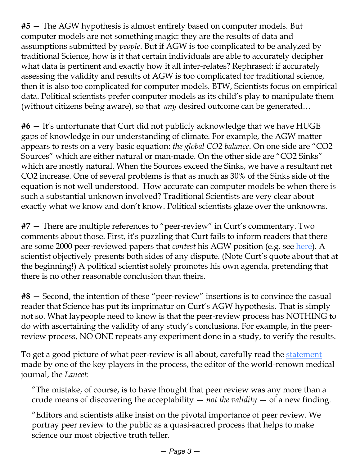**#5 —** The AGW hypothesis is almost entirely based on computer models. But computer models are not something magic: they are the results of data and assumptions submitted by *people*. But if AGW is too complicated to be analyzed by traditional Science, how is it that certain individuals are able to accurately decipher what data is pertinent and exactly how it all inter-relates? Rephrased: if accurately assessing the validity and results of AGW is too complicated for traditional science, then it is also too complicated for computer models. BTW, Scientists focus on empirical data. Political scientists prefer computer models as its child's play to manipulate them (without citizens being aware), so that *any* desired outcome can be generated…

**#6 —** It's unfortunate that Curt did not publicly acknowledge that we have HUGE gaps of knowledge in our understanding of climate. For example, the AGW matter appears to rests on a very basic equation: *the global CO2 balance*. On one side are "CO2 Sources" which are either natural or man-made. On the other side are "CO2 Sinks" which are mostly natural. When the Sources exceed the Sinks, we have a resultant net CO2 increase. One of several problems is that as much as 30% of the Sinks side of the equation is not well understood. How accurate can computer models be when there is such a substantial unknown involved? Traditional Scientists are very clear about exactly what we know and don't know. Political scientists glaze over the unknowns.

**#7 —** There are multiple references to "peer-review" in Curt's commentary. Two comments about those. First, it's puzzling that Curt fails to inform readers that there are some 2000 peer-reviewed papers that *contest* his AGW position (e.g. see [here\)](http://notrickszone.com/skeptic-papers-2018-3/). A scientist objectively presents both sides of any dispute. (Note Curt's quote about that at the beginning!) A political scientist solely promotes his own agenda, pretending that there is no other reasonable conclusion than theirs.

**#8 —** Second, the intention of these "peer-review" insertions is to convince the casual reader that Science has put its imprimatur on Curt's AGW hypothesis. That is simply not so. What laypeople need to know is that the peer-review process has NOTHING to do with ascertaining the validity of any study's conclusions. For example, in the peerreview process, NO ONE repeats any experiment done in a study, to verify the results.

To get a good picture of what peer-review is all about, carefully read the [statement](https://globalfreedommovement.org/why-scientific-peer-review-is-a-sham/) made by one of the key players in the process, the editor of the world-renown medical journal, the *Lancet*:

"The mistake, of course, is to have thought that peer review was any more than a crude means of discovering the acceptability — *not the validity* — of a new finding.

"Editors and scientists alike insist on the pivotal importance of peer review. We portray peer review to the public as a quasi-sacred process that helps to make science our most objective truth teller.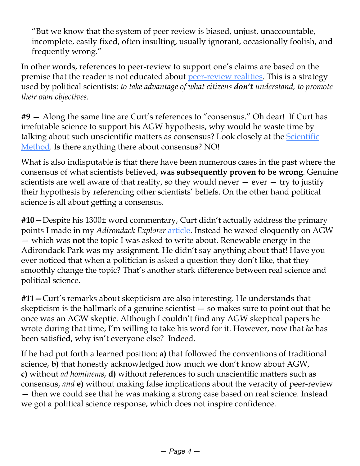"But we know that the system of peer review is biased, unjust, unaccountable, incomplete, easily fixed, often insulting, usually ignorant, occasionally foolish, and frequently wrong."

In other words, references to peer-review to support one's claims are based on the premise that the reader is not educated about [peer-review realities.](http://wiseenergy.org/Energy/Science/Peer_Review.pdf) This is a strategy used by political scientists: *to take advantage of what citizens don't understand, to promote their own objectives.*

**#9 —** Along the same line are Curt's references to "consensus." Oh dear! If Curt has irrefutable science to support his AGW hypothesis, why would he waste time by talking about such unscientific matters as consensus? Look closely at the **Scientific** [Method.](https://science.howstuffworks.com/innovation/scientific-experiments/scientific-method6.htm) Is there anything there about consensus? NO!

What is also indisputable is that there have been numerous cases in the past where the consensus of what scientists believed, **was subsequently proven to be wrong**. Genuine scientists are well aware of that reality, so they would never  $-$  ever  $-$  try to justify their hypothesis by referencing other scientists' beliefs. On the other hand political science is all about getting a consensus.

**#10—**Despite his 1300± word commentary, Curt didn't actually address the primary points I made in my *Adirondack Explorer* [article.](https://www.adirondackalmanack.com/2019/03/debatable-should-renewable-energy-be-an-apa-priority-no.html) Instead he waxed eloquently on AGW — which was **not** the topic I was asked to write about. Renewable energy in the Adirondack Park was my assignment. He didn't say anything about that! Have you ever noticed that when a politician is asked a question they don't like, that they smoothly change the topic? That's another stark difference between real science and political science.

**#11—**Curt's remarks about skepticism are also interesting. He understands that skepticism is the hallmark of a genuine scientist — so makes sure to point out that he once was an AGW skeptic. Although I couldn't find any AGW skeptical papers he wrote during that time, I'm willing to take his word for it. However, now that *he* has been satisfied, why isn't everyone else? Indeed.

If he had put forth a learned position: **a)** that followed the conventions of traditional science, **b)** that honestly acknowledged how much we don't know about AGW, **c)** without *ad hominems*, **d)** without references to such unscientific matters such as consensus, *and* **e)** without making false implications about the veracity of peer-review — then we could see that he was making a strong case based on real science. Instead we got a political science response, which does not inspire confidence.